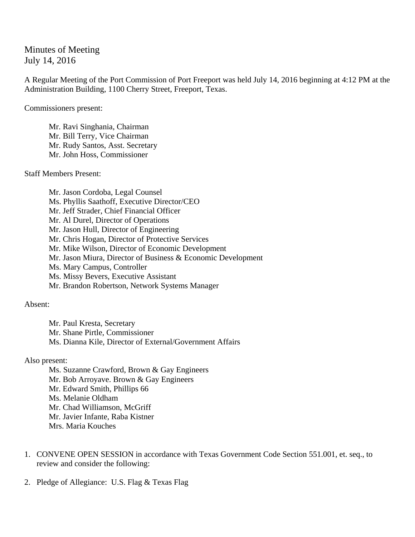Minutes of Meeting July 14, 2016

A Regular Meeting of the Port Commission of Port Freeport was held July 14, 2016 beginning at 4:12 PM at the Administration Building, 1100 Cherry Street, Freeport, Texas.

Commissioners present:

 Mr. Ravi Singhania, Chairman Mr. Bill Terry, Vice Chairman Mr. Rudy Santos, Asst. Secretary Mr. John Hoss, Commissioner

Staff Members Present:

Mr. Jason Cordoba, Legal Counsel Ms. Phyllis Saathoff, Executive Director/CEO Mr. Jeff Strader, Chief Financial Officer Mr. Al Durel, Director of Operations Mr. Jason Hull, Director of Engineering Mr. Chris Hogan, Director of Protective Services Mr. Mike Wilson, Director of Economic Development Mr. Jason Miura, Director of Business & Economic Development Ms. Mary Campus, Controller Ms. Missy Bevers, Executive Assistant Mr. Brandon Robertson, Network Systems Manager

Absent:

Mr. Paul Kresta, Secretary Mr. Shane Pirtle, Commissioner Ms. Dianna Kile, Director of External/Government Affairs

Also present:

Ms. Suzanne Crawford, Brown & Gay Engineers Mr. Bob Arroyave. Brown & Gay Engineers Mr. Edward Smith, Phillips 66 Ms. Melanie Oldham Mr. Chad Williamson, McGriff Mr. Javier Infante, Raba Kistner Mrs. Maria Kouches

- 1. CONVENE OPEN SESSION in accordance with Texas Government Code Section 551.001, et. seq., to review and consider the following:
- 2. Pledge of Allegiance: U.S. Flag & Texas Flag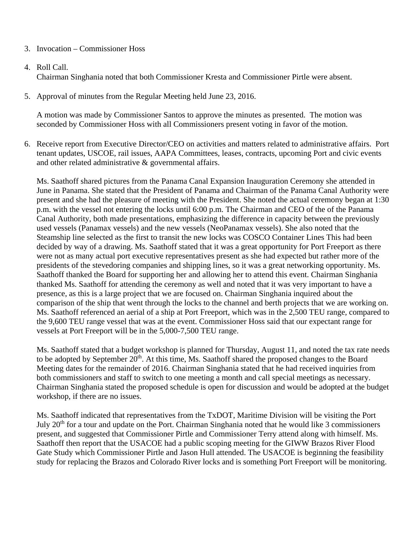## 3. Invocation – Commissioner Hoss

## 4. Roll Call.

Chairman Singhania noted that both Commissioner Kresta and Commissioner Pirtle were absent.

5. Approval of minutes from the Regular Meeting held June 23, 2016.

A motion was made by Commissioner Santos to approve the minutes as presented. The motion was seconded by Commissioner Hoss with all Commissioners present voting in favor of the motion.

6. Receive report from Executive Director/CEO on activities and matters related to administrative affairs. Port tenant updates, USCOE, rail issues, AAPA Committees, leases, contracts, upcoming Port and civic events and other related administrative & governmental affairs.

Ms. Saathoff shared pictures from the Panama Canal Expansion Inauguration Ceremony she attended in June in Panama. She stated that the President of Panama and Chairman of the Panama Canal Authority were present and she had the pleasure of meeting with the President. She noted the actual ceremony began at 1:30 p.m. with the vessel not entering the locks until 6:00 p.m. The Chairman and CEO of the of the Panama Canal Authority, both made presentations, emphasizing the difference in capacity between the previously used vessels (Panamax vessels) and the new vessels (NeoPanamax vessels). She also noted that the Steamship line selected as the first to transit the new locks was COSCO Container Lines This had been decided by way of a drawing. Ms. Saathoff stated that it was a great opportunity for Port Freeport as there were not as many actual port executive representatives present as she had expected but rather more of the presidents of the stevedoring companies and shipping lines, so it was a great networking opportunity. Ms. Saathoff thanked the Board for supporting her and allowing her to attend this event. Chairman Singhania thanked Ms. Saathoff for attending the ceremony as well and noted that it was very important to have a presence, as this is a large project that we are focused on. Chairman Singhania inquired about the comparison of the ship that went through the locks to the channel and berth projects that we are working on. Ms. Saathoff referenced an aerial of a ship at Port Freeport, which was in the 2,500 TEU range, compared to the 9,600 TEU range vessel that was at the event. Commissioner Hoss said that our expectant range for vessels at Port Freeport will be in the 5,000-7,500 TEU range.

Ms. Saathoff stated that a budget workshop is planned for Thursday, August 11, and noted the tax rate needs to be adopted by September 20<sup>th</sup>. At this time, Ms. Saathoff shared the proposed changes to the Board Meeting dates for the remainder of 2016. Chairman Singhania stated that he had received inquiries from both commissioners and staff to switch to one meeting a month and call special meetings as necessary. Chairman Singhania stated the proposed schedule is open for discussion and would be adopted at the budget workshop, if there are no issues.

Ms. Saathoff indicated that representatives from the TxDOT, Maritime Division will be visiting the Port July 20th for a tour and update on the Port. Chairman Singhania noted that he would like 3 commissioners present, and suggested that Commissioner Pirtle and Commissioner Terry attend along with himself. Ms. Saathoff then report that the USACOE had a public scoping meeting for the GIWW Brazos River Flood Gate Study which Commissioner Pirtle and Jason Hull attended. The USACOE is beginning the feasibility study for replacing the Brazos and Colorado River locks and is something Port Freeport will be monitoring.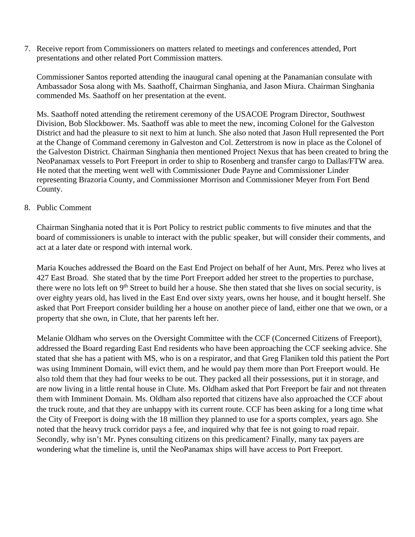7. Receive report from Commissioners on matters related to meetings and conferences attended, Port presentations and other related Port Commission matters.

Commissioner Santos reported attending the inaugural canal opening at the Panamanian consulate with Ambassador Sosa along with Ms. Saathoff, Chairman Singhania, and Jason Miura. Chairman Singhania commended Ms. Saathoff on her presentation at the event.

Ms. Saathoff noted attending the retirement ceremony of the USACOE Program Director, Southwest Division, Bob Slockbower. Ms. Saathoff was able to meet the new, incoming Colonel for the Galveston District and had the pleasure to sit next to him at lunch. She also noted that Jason Hull represented the Port at the Change of Command ceremony in Galveston and Col. Zetterstrom is now in place as the Colonel of the Galveston District. Chairman Singhania then mentioned Project Nexus that has been created to bring the NeoPanamax vessels to Port Freeport in order to ship to Rosenberg and transfer cargo to Dallas/FTW area. He noted that the meeting went well with Commissioner Dude Payne and Commissioner Linder representing Brazoria County, and Commissioner Morrison and Commissioner Meyer from Fort Bend County.

## 8. Public Comment

Chairman Singhania noted that it is Port Policy to restrict public comments to five minutes and that the board of commissioners is unable to interact with the public speaker, but will consider their comments, and act at a later date or respond with internal work.

Maria Kouches addressed the Board on the East End Project on behalf of her Aunt, Mrs. Perez who lives at 427 East Broad. She stated that by the time Port Freeport added her street to the properties to purchase, there were no lots left on 9<sup>th</sup> Street to build her a house. She then stated that she lives on social security, is over eighty years old, has lived in the East End over sixty years, owns her house, and it bought herself. She asked that Port Freeport consider building her a house on another piece of land, either one that we own, or a property that she own, in Clute, that her parents left her.

Melanie Oldham who serves on the Oversight Committee with the CCF (Concerned Citizens of Freeport), addressed the Board regarding East End residents who have been approaching the CCF seeking advice. She stated that she has a patient with MS, who is on a respirator, and that Greg Flaniken told this patient the Port was using Imminent Domain, will evict them, and he would pay them more than Port Freeport would. He also told them that they had four weeks to be out. They packed all their possessions, put it in storage, and are now living in a little rental house in Clute. Ms. Oldham asked that Port Freeport be fair and not threaten them with Imminent Domain. Ms. Oldham also reported that citizens have also approached the CCF about the truck route, and that they are unhappy with its current route. CCF has been asking for a long time what the City of Freeport is doing with the 18 million they planned to use for a sports complex, years ago. She noted that the heavy truck corridor pays a fee, and inquired why that fee is not going to road repair. Secondly, why isn't Mr. Pynes consulting citizens on this predicament? Finally, many tax payers are wondering what the timeline is, until the NeoPanamax ships will have access to Port Freeport.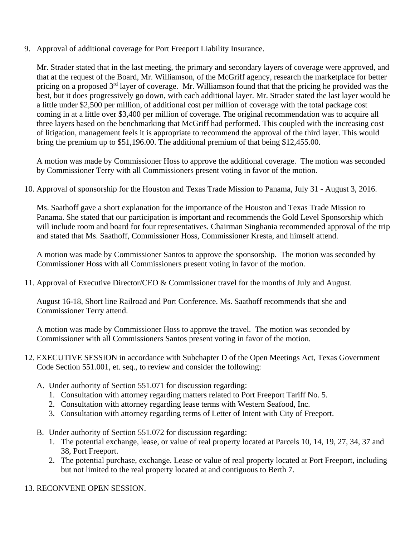9. Approval of additional coverage for Port Freeport Liability Insurance.

Mr. Strader stated that in the last meeting, the primary and secondary layers of coverage were approved, and that at the request of the Board, Mr. Williamson, of the McGriff agency, research the marketplace for better pricing on a proposed 3<sup>rd</sup> layer of coverage. Mr. Williamson found that that the pricing he provided was the best, but it does progressively go down, with each additional layer. Mr. Strader stated the last layer would be a little under \$2,500 per million, of additional cost per million of coverage with the total package cost coming in at a little over \$3,400 per million of coverage. The original recommendation was to acquire all three layers based on the benchmarking that McGriff had performed. This coupled with the increasing cost of litigation, management feels it is appropriate to recommend the approval of the third layer. This would bring the premium up to \$51,196.00. The additional premium of that being \$12,455.00.

A motion was made by Commissioner Hoss to approve the additional coverage. The motion was seconded by Commissioner Terry with all Commissioners present voting in favor of the motion.

10. Approval of sponsorship for the Houston and Texas Trade Mission to Panama, July 31 - August 3, 2016.

Ms. Saathoff gave a short explanation for the importance of the Houston and Texas Trade Mission to Panama. She stated that our participation is important and recommends the Gold Level Sponsorship which will include room and board for four representatives. Chairman Singhania recommended approval of the trip and stated that Ms. Saathoff, Commissioner Hoss, Commissioner Kresta, and himself attend.

A motion was made by Commissioner Santos to approve the sponsorship. The motion was seconded by Commissioner Hoss with all Commissioners present voting in favor of the motion.

11. Approval of Executive Director/CEO & Commissioner travel for the months of July and August.

August 16-18, Short line Railroad and Port Conference. Ms. Saathoff recommends that she and Commissioner Terry attend.

A motion was made by Commissioner Hoss to approve the travel. The motion was seconded by Commissioner with all Commissioners Santos present voting in favor of the motion.

- 12. EXECUTIVE SESSION in accordance with Subchapter D of the Open Meetings Act, Texas Government Code Section 551.001, et. seq., to review and consider the following:
	- A. Under authority of Section 551.071 for discussion regarding:
		- 1. Consultation with attorney regarding matters related to Port Freeport Tariff No. 5.
		- 2. Consultation with attorney regarding lease terms with Western Seafood, Inc.
		- 3. Consultation with attorney regarding terms of Letter of Intent with City of Freeport.
	- B. Under authority of Section 551.072 for discussion regarding:
		- 1. The potential exchange, lease, or value of real property located at Parcels 10, 14, 19, 27, 34, 37 and 38, Port Freeport.
		- 2. The potential purchase, exchange. Lease or value of real property located at Port Freeport, including but not limited to the real property located at and contiguous to Berth 7.
- 13. RECONVENE OPEN SESSION.